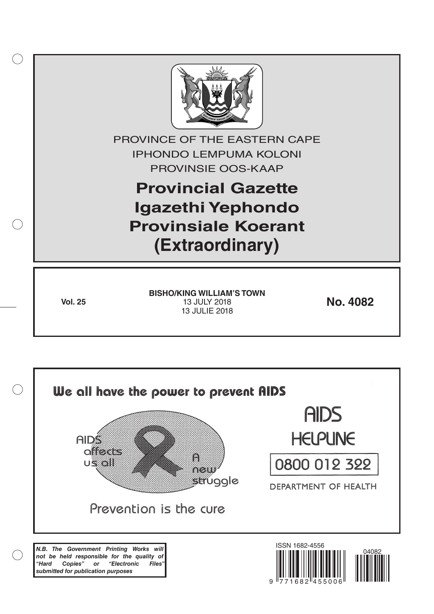

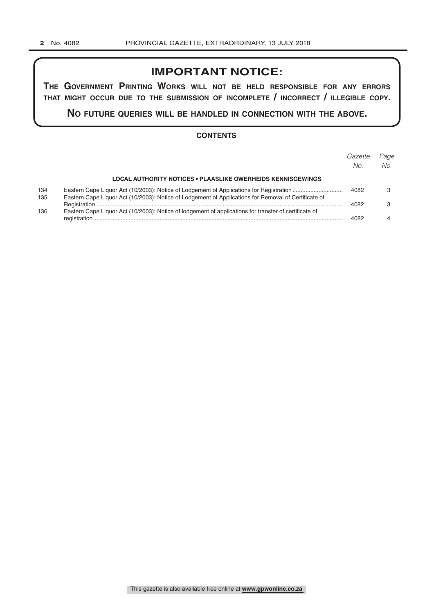# **IMPORTANT NOTICE:**

**The GovernmenT PrinTinG Works Will noT be held resPonsible for any errors ThaT miGhT occur due To The submission of incomPleTe / incorrecT / illeGible coPy.**

**no fuTure queries Will be handled in connecTion WiTh The above.**

## **CONTENTS**

|            |                                                                                                       | Gazette<br>No. | Paae<br>No. |
|------------|-------------------------------------------------------------------------------------------------------|----------------|-------------|
|            | <b>LOCAL AUTHORITY NOTICES • PLAASLIKE OWERHEIDS KENNISGEWINGS</b>                                    |                |             |
| 134<br>135 | Eastern Cape Liquor Act (10/2003): Notice of Lodgement of Applications for Removal of Certificate of  | 4082           |             |
|            |                                                                                                       | 4082           |             |
| 136        | Eastern Cape Liquor Act (10/2003): Notice of lodgement of applications for transfer of certificate of | 4082           |             |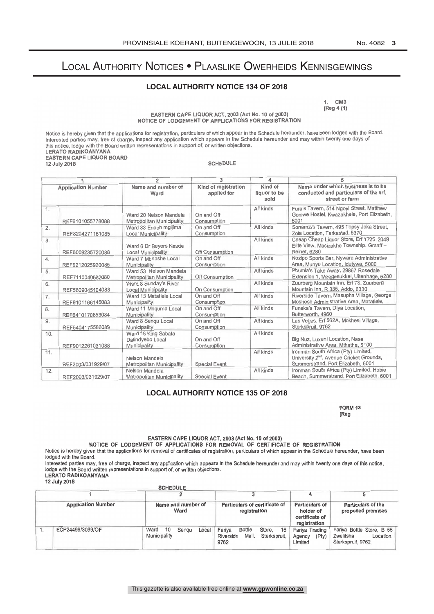# Local Authority Notices • Plaaslike Owerheids Kennisgewings

#### **LOCAL AUTHORITY NOTICE 134 OF 2018**

 $1. \, \text{GW3}$  $\ln A + (1)$ 

EASTERN CAPE LIQUOR ACT, 2003 (Act No. 10 of 2003) NOTICE OF LODGEMENT OF APPLICATIONS FOR REGISTRATION

Notice is hereby given that the applications for registration, particulars of which appear in the Schedule hereunder, have been lodged with the Board. Interested parties may, free of charge, inspect any application which appears in the Schedule hereunder and may within twenty one days of this notice, lodge with the Board written representations in support of, or written objections. LERATO RADIKOANYANA EASTERN CAPE LIQUOR BOARD 12 July 2018 SCHEDULE

| $\overline{2}$            |                   | 3                                                       | 4                                   |                                 |                                                                                                                                   |  |
|---------------------------|-------------------|---------------------------------------------------------|-------------------------------------|---------------------------------|-----------------------------------------------------------------------------------------------------------------------------------|--|
| <b>Application Number</b> |                   | Name and number of<br>Ward                              | Kind of registration<br>applied for | Kind of<br>liquor to be<br>sold | Name under which business is to be<br>conducted and particulars of the erf,<br>street or farm                                     |  |
| 1.                        | REF6101055778088  | Ward 20 Nelson Mandela<br>Metropolitan Municipality     | On and Off<br>Consumption           | All kinds                       | Fura's Tavern, 514 Ngoyi Street, Matthew<br>Goniwe Hostel, Kwazakhele, Port Elizabeth,<br>6001                                    |  |
| 2.                        | REF8204271161085  | Ward 33 Enoch mgijima<br><b>Local Municipality</b>      | On and Off<br>Consumption           | All kinds                       | Sonamzi's Tavern, 495 Topsy Joka Street,<br>Zola Location, Tarkastad, 5370                                                        |  |
| 3.                        | REF6009235720088  | Ward 6 Dr Bevers Naude<br><b>Local Municipality</b>     | Off Consumption                     | All kinds                       | Cheap Cheap Liquor Store, Erf 1725, 2049<br>Elite View, Masizakhe Township, Graaff-<br><b>Reinet, 6280</b>                        |  |
| 4.                        | REF9212025920085  | Ward 7 Mbhashe Local<br>Municipality                    | On and Off<br>Consumption           | All kinds                       | Nozipo Sports Bar, Nywara Administrative<br>Area, Munyu Location, Idutywa, 5000                                                   |  |
| 5.                        | REF7110040682080  | Ward 53 Nelson Mandela<br>Metropolitan Municipality     | Off Consumption                     | All kinds                       | Phumla's Take Away, 29867 Rosedale<br>Extension 1, Moegesukkel, Uitenhage, 6280                                                   |  |
| 6.                        | REF5609045104083  | Ward 8 Sunday's River<br>Local Municipality             | On Consumption                      | All kinds                       | Zuurberg Mountain Inn, Erf 73, Zuurberg<br>Mountain Inn, R 335, Addo, 6330                                                        |  |
| 7.                        | REF9101166145083  | Ward 13 Matatiele Local<br>Municipality                 | On and Off<br>Consumption           | All kinds                       | Riverside Tavern, Masupha Village, George<br>Moshesh Administrative Area, Matatiele,                                              |  |
| 8.                        | REF6410170853084  | Ward 11 Mnguma Local<br>Municipality                    | On and Off<br>Consumption           | All kinds                       | Funeka's Tavern, Diya Location,<br>Butterworth, 4960                                                                              |  |
| 9.                        | REF5404175586089  | Ward 8 Sengu Local<br>Municipality                      | On and Off<br>Consumption           | All kinds                       | Las Vegas, Erf 562A, Mokhesi Village,<br>Sterkspruit, 9762                                                                        |  |
| 10.                       | REF9012261031088  | Ward 16 King Sabata<br>Dalindyebo Local<br>Municipality | On and Off<br>Consumption           | All kinds                       | Big Nuz, Luxeni Location, Nase<br>Administrative Area, Mthatha, 5100                                                              |  |
| 11.                       | REF2003/031929/07 | Nelson Mandela<br>Metropolitan Municipality             | <b>Special Event</b>                | All kinds                       | Ironman South Africa (Pty) Limited,<br>University 2 <sup>nd</sup> , Avenue Cricket Grounds,<br>Summerstrand, Port Elizabeth, 6001 |  |
| 12.                       | REF2003/031929/07 | Nelson Mandela<br>Metropolitan Municipality             | Special Event                       | All kinds                       | Ironman South Africa (Pty) Limited, Hobie<br>Beach, Summerstrand, Port Elizabeth, 6001                                            |  |

#### **LOCAL AUTHORITY NOTICE 135 OF 2018**

FORM 13 [Reg

#### EASTERN CAPE LIQUOR ACT, 2003 (Act No. 10 of 2003)

NOTICE OF LODGEMENT OF APPLICATIONS FOR REMOVAL OF CERTIFICATE OF REGISTRATION

Notice is hereby given that the applications for removal of certificates of registration, particulars of which appear in the Schedule hereunder, have been lodged with the Board.

Interested parties may, free of charge, inspect any application which appears in the Schedule hereunder and may within twenty one days of this notice, lodge with the Board written representations in support of, or written objections.

## LERATO RADIKOANYANA

12 July 2018

1. SCHEDULE <sup>1</sup> 2 3 4 5 Application Number Name and number of Particulars of Particulars of Particulars of the March Name and number of Particulars of Certificate of Particulars of Particulars of the March Name and number of Particulars of Partic Ward registration holder of certificate of registration<br>Fariya Trading proposed premises ECP24499/3039/OF Ward 10 Senqu Local Fariya Bottle Store, 16 Fariya Trading Fariya Bottle Store, B 55<br>Municipality Riverside Mall, Sterkspruit, Agency (Pty) Zwelitsha Location, Riverside Mall, 9762 Agency (Pty) **Limited** Zwelitsha Location,<br>Sterkspruit, 9762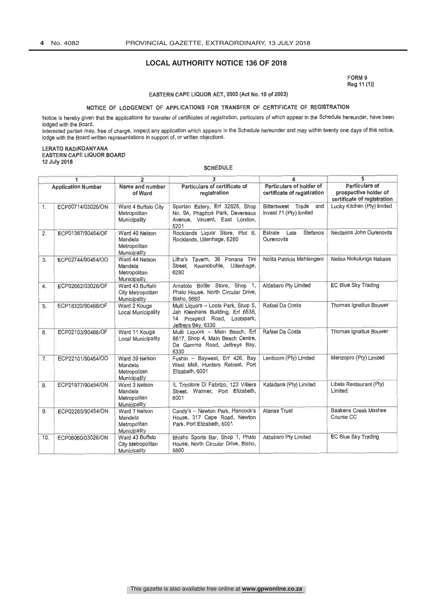## **LOCAL AUTHORITY NOTICE 136 OF 2018**

FORM 9 Reg 11 (1)]

#### EASTERN CAPE LIQUOR ACT, 2003 (Act No. 10 of 2003)

## NOTICE OF LODGEMENT OF APPLICATIONS FOR TRANSFER OF CERTIFICATE OF REGISTRATION

Notice is hereby given that the applications for transfer of certificates of registration, particulars of which appear in the Schedule hereunder, have been lodged with the Board.

Interested parties may, free of charge, inspect any application which appears in the Schedule hereunder and may within twenty one days of this notice, lodge with the Board written representations in support of, or written objections.

#### LERATO RADIKOANYANA EASTERN CAPE LIQUOR BOARD 12 July 2018

**SCHEDULE** 

| 1                         |                   | $\overline{2}$<br>3                                       |                                                                                                                                | 4                                                       | 5                                                                      |  |
|---------------------------|-------------------|-----------------------------------------------------------|--------------------------------------------------------------------------------------------------------------------------------|---------------------------------------------------------|------------------------------------------------------------------------|--|
| <b>Application Number</b> |                   | Name and number<br>of Ward                                | Particulars of certificate of<br>registration                                                                                  | Particulars of holder of<br>certificate of registration | Particulars of<br>prospective holder of<br>certificate of registration |  |
| 1.                        | ECP00714/03026/ON | Ward 4 Buffalo City<br>Metropolitan<br>Municipality       | Spartan Eatery, Erf 32825, Shop<br>No. 9A, Phaphos Park, Devereaux<br>Avenue, Vincent, East London,<br>5201                    | Bittersweet Trade<br>and<br>Invest 71 (Pty) limited     | Lucky Kitchen (Pty) limited                                            |  |
| 2.                        | ECP01367/90454/OF | Ward 40 Nelson<br>Mandela<br>Metropolitan<br>Municipality | Rocklands Liquor Store, Plot 6,<br>Rocklands, Uitenhage, 6280                                                                  | <b>Stefanos</b><br><b>Estrate</b><br>Late<br>Ourenovits | Nectarios John Ourenovits                                              |  |
| 3.                        | ECP02744/90454/OO | Ward 44 Nelson<br>Mandela<br>Metropolitan<br>Municipality | Litha's Tavern, 36 Ponana<br>Tini<br>Street,<br>Kwanobuhle, Uitenhage,<br>6280                                                 | Nolita Patricia Mahlangeni                              | Nelisa Nokulunga Nakase                                                |  |
| 4.                        | ECP02662/03026/OF | Ward 43 Buffalo<br>City Metropolitan<br>Municipality      | Amatola Bottle Store, Shop 1,<br>Phalo House, North Circular Drive,<br><b>Bisho, 5660</b>                                      | Aldabaro Pty Limited                                    | <b>EC Blue Sky Trading</b>                                             |  |
| 5.                        | ECP18320/90466/OF | Ward 2 Kouga<br><b>Local Municipality</b>                 | Multi Liquors - Loots Park, Shop 5,<br>Jah Kleinhans Building, Erf 6538,<br>14 Prospect Road, Lootspark,<br>Jeffreys Bay, 6330 | Rafael Da Costa                                         | Thomas Ignatius Bouwer                                                 |  |
| 6.                        | ECP02103/90466/OF | Ward 11 Kouga<br><b>Local Municipality</b>                | Multi Liquors - Main Beach, Erf<br>6617, Shop 4, Main Beach Centre,<br>Da Gamma Road, Jeffreys Bay,<br>6330                    | Rafael Da Costa                                         | Thomas Ignatius Bouwer                                                 |  |
| 7 <sub>1</sub>            | ECP22101/90454/OO | Ward 39 Nelson<br>Mandela<br>Metropolitan<br>Municipality | Fushin - Baywest, Erf 426, Bay<br>West Mall, Hunters Retreat, Port<br>Elizabeth, 6001                                          | Lenticom (Pty) Limited                                  | Menzopro (Pty) Limited                                                 |  |
| 8.                        | ECP21977/90454/ON | Ward 3 Nelson<br>Mandela<br>Metropolitan<br>Municipality  | IL Tricolore Di Fabrizo, 123 Villiers<br>Street, Walmer, Port Elizabeth,<br>6001                                               | Katadana (Pty) Limited                                  | Libela Restaurant (Pty)<br>Limited                                     |  |
| 9.                        | ECP02265/90454/ON | Ward 7 Nelson<br>Mandela<br>Metropolitan<br>Municipality  | Candy's - Newton Park, Hancock's<br>House, 317 Cape Road, Newton<br>Park, Port Elizabeth, 6001                                 | <b>Atanas Trust</b>                                     | <b>Baakens Creek Mashee</b><br>Course CC                               |  |
| 10.                       | ECP06060/03026/ON | Ward 43 Buffalo<br>City Metropolitan<br>Municipality      | Bhisho Sports Bar, Shop 1, Phalo<br>House, North Circular Drive, Bisho,<br>5660                                                | Aldabaro Pty Limited                                    | <b>EC Blue Sky Trading</b>                                             |  |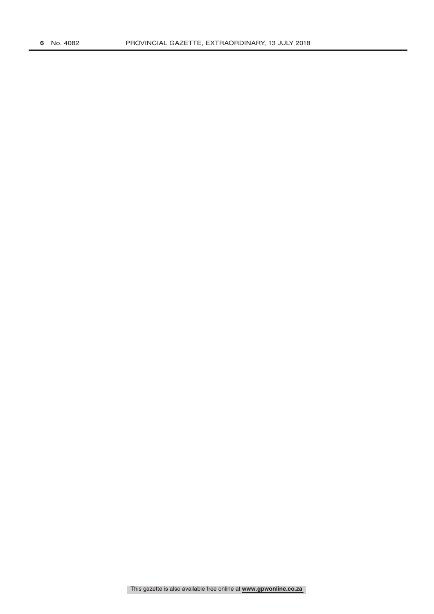This gazette is also available free online at **www.gpwonline.co.za**